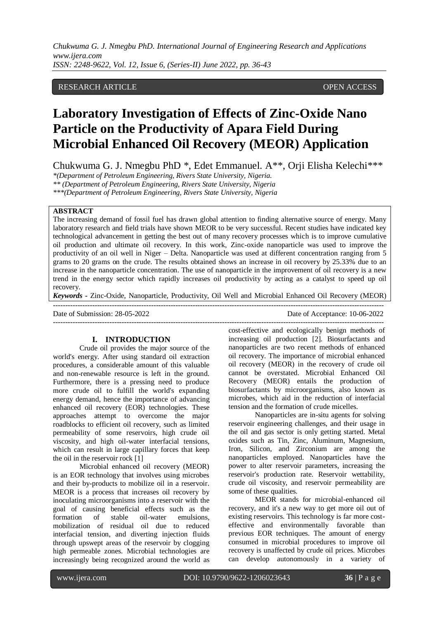### RESEARCH ARTICLE **CONSERVERS** OPEN ACCESS

# **Laboratory Investigation of Effects of Zinc-Oxide Nano Particle on the Productivity of Apara Field During Microbial Enhanced Oil Recovery (MEOR) Application**

Chukwuma G. J. Nmegbu PhD \*, Edet Emmanuel. A\*\*, Orji Elisha Kelechi\*\*\*

*\*(Department of Petroleum Engineering, Rivers State University, Nigeria.*

*\*\* (Department of Petroleum Engineering, Rivers State University, Nigeria*

*\*\*\*(Department of Petroleum Engineering, Rivers State University, Nigeria*

#### **ABSTRACT**

The increasing demand of fossil fuel has drawn global attention to finding alternative source of energy. Many laboratory research and field trials have shown MEOR to be very successful. Recent studies have indicated key technological advancement in getting the best out of many recovery processes which is to improve cumulative oil production and ultimate oil recovery. In this work, Zinc-oxide nanoparticle was used to improve the productivity of an oil well in Niger – Delta. Nanoparticle was used at different concentration ranging from 5 grams to 20 grams on the crude. The results obtained shows an increase in oil recovery by 25.33% due to an increase in the nanoparticle concentration. The use of nanoparticle in the improvement of oil recovery is a new trend in the energy sector which rapidly increases oil productivity by acting as a catalyst to speed up oil recovery.

*Keywords* **-** Zinc-Oxide, Nanoparticle, Productivity, Oil Well and Microbial Enhanced Oil Recovery (MEOR) ---------------------------------------------------------------------------------------------------------------------------------------

---------------------------------------------------------------------------------------------------------------------------------------

Date of Submission: 28-05-2022 Date of Acceptance: 10-06-2022

#### **I. INTRODUCTION**

Crude oil provides the major source of the world's energy. After using standard oil extraction procedures, a considerable amount of this valuable and non-renewable resource is left in the ground. Furthermore, there is a pressing need to produce more crude oil to fulfill the world's expanding energy demand, hence the importance of advancing enhanced oil recovery (EOR) technologies. These approaches attempt to overcome the major roadblocks to efficient oil recovery, such as limited permeability of some reservoirs, high crude oil viscosity, and high oil-water interfacial tensions, which can result in large capillary forces that keep the oil in the reservoir rock [1]

Microbial enhanced oil recovery (MEOR) is an EOR technology that involves using microbes and their by-products to mobilize oil in a reservoir. MEOR is a process that increases oil recovery by inoculating microorganisms into a reservoir with the goal of causing beneficial effects such as the formation of stable oil-water emulsions, mobilization of residual oil due to reduced interfacial tension, and diverting injection fluids through upswept areas of the reservoir by clogging high permeable zones. Microbial technologies are increasingly being recognized around the world as cost-effective and ecologically benign methods of increasing oil production [2]. Biosurfactants and nanoparticles are two recent methods of enhanced oil recovery. The importance of microbial enhanced oil recovery (MEOR) in the recovery of crude oil cannot be overstated. Microbial Enhanced Oil Recovery (MEOR) entails the production of biosurfactants by microorganisms, also known as microbes, which aid in the reduction of interfacial tension and the formation of crude micelles.

Nanoparticles are in-situ agents for solving reservoir engineering challenges, and their usage in the oil and gas sector is only getting started. Metal oxides such as Tin, Zinc, Aluminum, Magnesium, Iron, Silicon, and Zirconium are among the nanoparticles employed. Nanoparticles have the power to alter reservoir parameters, increasing the reservoir's production rate. Reservoir wettability, crude oil viscosity, and reservoir permeability are some of these qualities.

MEOR stands for microbial-enhanced oil recovery, and it's a new way to get more oil out of existing reservoirs. This technology is far more costeffective and environmentally favorable than previous EOR techniques. The amount of energy consumed in microbial procedures to improve oil recovery is unaffected by crude oil prices. Microbes can develop autonomously in a variety of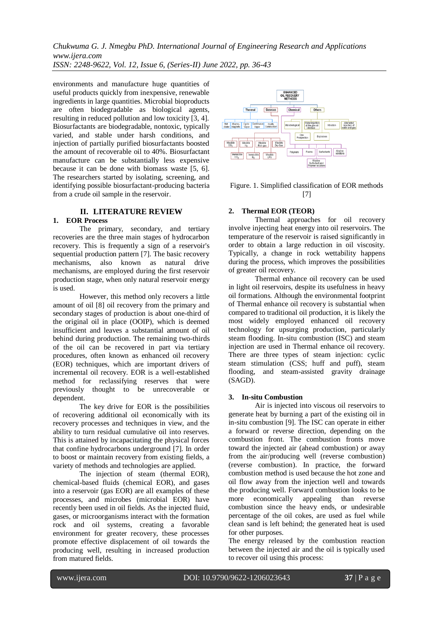environments and manufacture huge quantities of useful products quickly from inexpensive, renewable ingredients in large quantities. Microbial bioproducts are often biodegradable as biological agents, resulting in reduced pollution and low toxicity [3, 4]. Biosurfactants are biodegradable, nontoxic, typically varied, and stable under harsh conditions, and injection of partially purified biosurfactants boosted the amount of recoverable oil to 40%. Biosurfactant manufacture can be substantially less expensive because it can be done with biomass waste [5, 6]. The researchers started by isolating, screening, and identifying possible biosurfactant-producing bacteria from a crude oil sample in the reservoir.

# **II. LITERATURE REVIEW**

# **1. EOR Process**

The primary, secondary, and tertiary recoveries are the three main stages of hydrocarbon recovery. This is frequently a sign of a reservoir's sequential production pattern [7]. The basic recovery mechanisms, also known as natural drive mechanisms, are employed during the first reservoir production stage, when only natural reservoir energy is used.

However, this method only recovers a little amount of oil [8] oil recovery from the primary and secondary stages of production is about one-third of the original oil in place (OOIP), which is deemed insufficient and leaves a substantial amount of oil behind during production. The remaining two-thirds of the oil can be recovered in part via tertiary procedures, often known as enhanced oil recovery (EOR) techniques, which are important drivers of incremental oil recovery. EOR is a well-established method for reclassifying reserves that were previously thought to be unrecoverable or dependent.

The key drive for EOR is the possibilities of recovering additional oil economically with its recovery processes and techniques in view, and the ability to turn residual cumulative oil into reserves. This is attained by incapacitating the physical forces that confine hydrocarbons underground [7]. In order to boost or maintain recovery from existing fields, a variety of methods and technologies are applied.

The injection of steam (thermal EOR), chemical-based fluids (chemical EOR), and gases into a reservoir (gas EOR) are all examples of these processes, and microbes (microbial EOR) have recently been used in oil fields. As the injected fluid, gases, or microorganisms interact with the formation rock and oil systems, creating a favorable environment for greater recovery, these processes promote effective displacement of oil towards the producing well, resulting in increased production from matured fields.



#### Figure. 1. Simplified classification of EOR methods [7]

# **2. Thermal EOR (TEOR)**

Thermal approaches for oil recovery involve injecting heat energy into oil reservoirs. The temperature of the reservoir is raised significantly in order to obtain a large reduction in oil viscosity. Typically, a change in rock wettability happens during the process, which improves the possibilities of greater oil recovery.

Thermal enhance oil recovery can be used in light oil reservoirs, despite its usefulness in heavy oil formations. Although the environmental footprint of Thermal enhance oil recovery is substantial when compared to traditional oil production, it is likely the most widely employed enhanced oil recovery technology for upsurging production, particularly steam flooding. In-situ combustion (ISC) and steam injection are used in Thermal enhance oil recovery. There are three types of steam injection: cyclic steam stimulation (CSS; huff and puff), steam flooding, and steam-assisted gravity drainage (SAGD).

#### **3. In-situ Combustion**

Air is injected into viscous oil reservoirs to generate heat by burning a part of the existing oil in in-situ combustion [9]. The ISC can operate in either a forward or reverse direction, depending on the combustion front. The combustion fronts move toward the injected air (ahead combustion) or away from the air/producing well (reverse combustion) (reverse combustion). In practice, the forward combustion method is used because the hot zone and oil flow away from the injection well and towards the producing well. Forward combustion looks to be more economically appealing than reverse combustion since the heavy ends, or undesirable percentage of the oil cokes, are used as fuel while clean sand is left behind; the generated heat is used for other purposes.

The energy released by the combustion reaction between the injected air and the oil is typically used to recover oil using this process: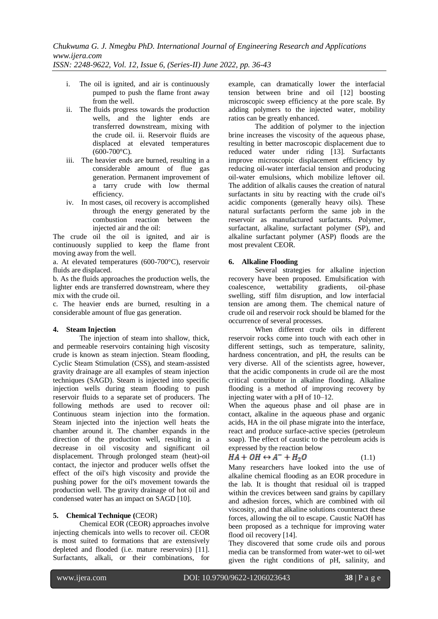- i. The oil is ignited, and air is continuously pumped to push the flame front away from the well.
- ii. The fluids progress towards the production wells, and the lighter ends are transferred downstream, mixing with the crude oil. ii. Reservoir fluids are displaced at elevated temperatures  $(600-700\degree C)$ .
- iii. The heavier ends are burned, resulting in a considerable amount of flue gas generation. Permanent improvement of a tarry crude with low thermal efficiency.
- iv. In most cases, oil recovery is accomplished through the energy generated by the combustion reaction between the injected air and the oil:

The crude oil the oil is ignited, and air is continuously supplied to keep the flame front moving away from the well.

a. At elevated temperatures (600-700°C), reservoir fluids are displaced.

b. As the fluids approaches the production wells, the lighter ends are transferred downstream, where they mix with the crude oil.

c. The heavier ends are burned, resulting in a considerable amount of flue gas generation.

# **4. Steam Injection**

The injection of steam into shallow, thick, and permeable reservoirs containing high viscosity crude is known as steam injection. Steam flooding, Cyclic Steam Stimulation (CSS), and steam-assisted gravity drainage are all examples of steam injection techniques (SAGD). Steam is injected into specific injection wells during steam flooding to push reservoir fluids to a separate set of producers. The following methods are used to recover oil: Continuous steam injection into the formation. Steam injected into the injection well heats the chamber around it. The chamber expands in the direction of the production well, resulting in a decrease in oil viscosity and significant oil displacement. Through prolonged steam (heat)-oil contact, the injector and producer wells offset the effect of the oil's high viscosity and provide the pushing power for the oil's movement towards the production well. The gravity drainage of hot oil and condensed water has an impact on SAGD [10].

# **5. Chemical Technique (**CEOR)

Chemical EOR (CEOR) approaches involve injecting chemicals into wells to recover oil. CEOR is most suited to formations that are extensively depleted and flooded (i.e. mature reservoirs) [11]. Surfactants, alkali, or their combinations, for

example, can dramatically lower the interfacial tension between brine and oil [12] boosting microscopic sweep efficiency at the pore scale. By adding polymers to the injected water, mobility ratios can be greatly enhanced.

The addition of polymer to the injection brine increases the viscosity of the aqueous phase, resulting in better macroscopic displacement due to reduced water under riding [13]. Surfactants improve microscopic displacement efficiency by reducing oil-water interfacial tension and producing oil-water emulsions, which mobilize leftover oil. The addition of alkalis causes the creation of natural surfactants in situ by reacting with the crude oil's acidic components (generally heavy oils). These natural surfactants perform the same job in the reservoir as manufactured surfactants. Polymer, surfactant, alkaline, surfactant polymer (SP), and alkaline surfactant polymer (ASP) floods are the most prevalent CEOR.

# **6. Alkaline Flooding**

Several strategies for alkaline injection recovery have been proposed. Emulsification with coalescence, wettability gradients, oil-phase swelling, stiff film disruption, and low interfacial tension are among them. The chemical nature of crude oil and reservoir rock should be blamed for the occurrence of several processes.

When different crude oils in different reservoir rocks come into touch with each other in different settings, such as temperature, salinity, hardness concentration, and pH, the results can be very diverse. All of the scientists agree, however, that the acidic components in crude oil are the most critical contributor in alkaline flooding. Alkaline flooding is a method of improving recovery by injecting water with a pH of 10–12.

When the aqueous phase and oil phase are in contact, alkaline in the aqueous phase and organic acids, HA in the oil phase migrate into the interface, react and produce surface-active species (petroleum soap). The effect of caustic to the petroleum acids is expressed by the reaction below

#### $HA + OH \leftrightarrow A^- + H_2O$ (1.1)

Many researchers have looked into the use of alkaline chemical flooding as an EOR procedure in the lab. It is thought that residual oil is trapped within the crevices between sand grains by capillary and adhesion forces, which are combined with oil viscosity, and that alkaline solutions counteract these forces, allowing the oil to escape. Caustic NaOH has been proposed as a technique for improving water flood oil recovery [14].

They discovered that some crude oils and porous media can be transformed from water-wet to oil-wet given the right conditions of pH, salinity, and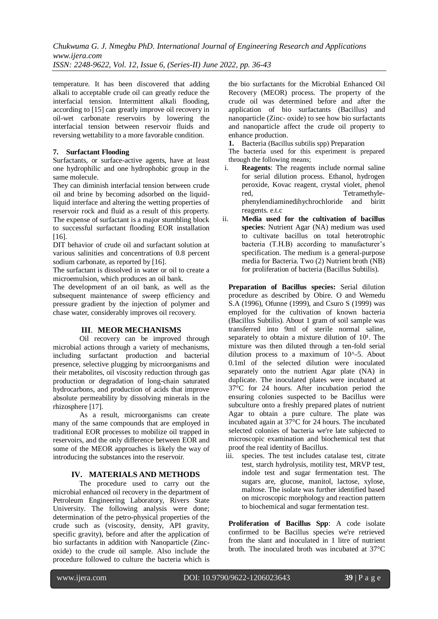temperature. It has been discovered that adding alkali to acceptable crude oil can greatly reduce the interfacial tension. Intermittent alkali flooding, according to [15] can greatly improve oil recovery in oil-wet carbonate reservoirs by lowering the interfacial tension between reservoir fluids and reversing wettability to a more favorable condition.

### **7. Surfactant Flooding**

Surfactants, or surface-active agents, have at least one hydrophilic and one hydrophobic group in the same molecule.

They can diminish interfacial tension between crude oil and brine by becoming adsorbed on the liquidliquid interface and altering the wetting properties of reservoir rock and fluid as a result of this property. The expense of surfactant is a major stumbling block to successful surfactant flooding EOR installation [16].

DIT behavior of crude oil and surfactant solution at various salinities and concentrations of 0.8 percent sodium carbonate, as reported by [16].

The surfactant is dissolved in water or oil to create a microemulsion, which produces an oil bank.

The development of an oil bank, as well as the subsequent maintenance of sweep efficiency and pressure gradient by the injection of polymer and chase water, considerably improves oil recovery.

#### **III**. **MEOR MECHANISMS**

Oil recovery can be improved through microbial actions through a variety of mechanisms, including surfactant production and bacterial presence, selective plugging by microorganisms and their metabolites, oil viscosity reduction through gas production or degradation of long-chain saturated hydrocarbons, and production of acids that improve absolute permeability by dissolving minerals in the rhizosphere [17].

As a result, microorganisms can create many of the same compounds that are employed in traditional EOR processes to mobilize oil trapped in reservoirs, and the only difference between EOR and some of the MEOR approaches is likely the way of introducing the substances into the reservoir.

#### **IV. MATERIALS AND METHODS**

The procedure used to carry out the microbial enhanced oil recovery in the department of Petroleum Engineering Laboratory, Rivers State University. The following analysis were done; determination of the petro-physical properties of the crude such as (viscosity, density, API gravity, specific gravity), before and after the application of bio surfactants in addition with Nanoparticle (Zincoxide) to the crude oil sample. Also include the procedure followed to culture the bacteria which is

the bio surfactants for the Microbial Enhanced Oil Recovery (MEOR) process. The property of the crude oil was determined before and after the application of bio surfactants (Bacillus) and nanoparticle (Zinc- oxide) to see how bio surfactants and nanoparticle affect the crude oil property to enhance production.

**1.** Bacteria (Bacillus subtilis spp) Preparation

The bacteria used for this experiment is prepared through the following means;

- i. **Reagents**: The reagents include normal saline for serial dilution process. Ethanol, hydrogen peroxide, Kovac reagent, crystal violet, phenol red, Tetramethylephenylendiaminedihychrochloride and biritt reagents. e.t.c
- ii. **Media used for the cultivation of bacillus species**: Nutrient Agar (NA) medium was used to cultivate bacillus on total heterotrophic bacteria (T.H.B) according to manufacturer's specification. The medium is a general-purpose media for Bacteria. Two (2) Nutrient broth (NB) for proliferation of bacteria (Bacillus Subtilis).

**Preparation of Bacillus species:** Serial dilution procedure as described by Obire. O and Wemedu S.A (1996), Ofunne (1999), and Csuro S (1999) was employed for the cultivation of known bacteria (Bacillus Subtilis). About 1 gram of soil sample was transferred into 9ml of sterile normal saline, separately to obtain a mixture dilution of  $10<sup>1</sup>$ . The mixture was then diluted through a ten-fold serial dilution process to a maximum of 10^-5. About 0.1ml of the selected dilution were inoculated separately onto the nutrient Agar plate (NA) in duplicate. The inoculated plates were incubated at 37°C for 24 hours. After incubation period the ensuring colonies suspected to be Bacillus were subculture onto a freshly prepared plates of nutrient Agar to obtain a pure culture. The plate was incubated again at 37°C for 24 hours. The incubated selected colonies of bacteria we're late subjected to microscopic examination and biochemical test that proof the real identity of Bacillus.

iii. species. The test includes catalase test, citrate test, starch hydrolysis, motility test, MRVP test, indole test and sugar fermentation test. The sugars are, glucose, manitol, lactose, xylose, maltose. The isolate was further identified based on microscopic morphology and reaction pattern to biochemical and sugar fermentation test.

**Proliferation of Bacillus Spp**: A code isolate confirmed to be Bacillus species we're retrieved from the slant and inoculated in 1 litre of nutrient broth. The inoculated broth was incubated at 37°C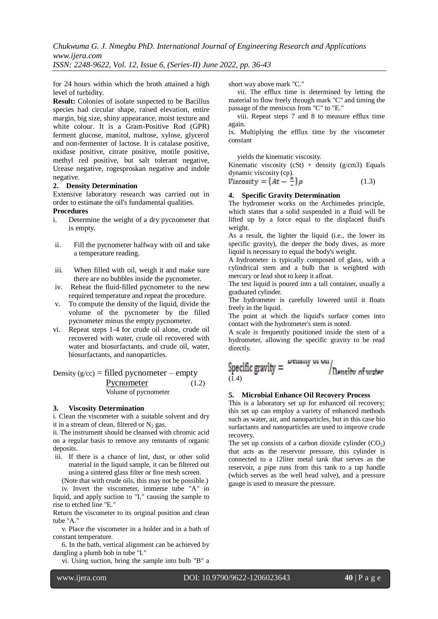for 24 hours within which the broth attained a high level of turbidity.

**Result:** Colonies of isolate suspected to be Bacillus species had circular shape, raised elevation, entire margin, big size, shiny appearance, moist texture and white colour. It is a Gram-Positive Rod (GPR) ferment glucose, manitol, maltose, xylose, glycerol and non-fermenter of lactose. It is catalase positive, oxidase positive, citrate positive, motile positive, methyl red positive, but salt tolerant negative, Urease negative, rogesproskan negative and indole negative.

#### **2. Density Determination**

Extensive laboratory research was carried out in order to estimate the oil's fundamental qualities.

#### **Procedures**

- i. Determine the weight of a dry pycnometer that is empty.
- ii. Fill the pycnometer halfway with oil and take a temperature reading.
- iii. When filled with oil, weigh it and make sure there are no bubbles inside the pycnometer.
- iv. Reheat the fluid-filled pycnometer to the new required temperature and repeat the procedure.
- v. To compute the density of the liquid, divide the volume of the pycnometer by the filled pycnometer minus the empty pycnometer.
- vi. Repeat steps 1-4 for crude oil alone, crude oil recovered with water, crude oil recovered with water and biosurfactants, and crude oil, water, biosurfactants, and nanoparticles.

Density 
$$
(g/cc) =
$$
 filled pycnometer – empty  
\n
$$
\frac{Pycnometer}{Volume of pycnometer}
$$
 (1.2)

#### **3. Viscosity Determination**

i. Clean the viscometer with a suitable solvent and dry it in a stream of clean, filtered or  $N_2$  gas.

ii. The instrument should be cleansed with chromic acid on a regular basis to remove any remnants of organic deposits.

iii. If there is a chance of lint, dust, or other solid material in the liquid sample, it can be filtered out using a sintered glass filter or fine mesh screen.

(Note that with crude oils, this may not be possible.) iv. Invert the viscometer, immerse tube "A" in

liquid, and apply suction to "I," causing the sample to rise to etched line "E."

Return the viscometer to its original position and clean tube "A."

v. Place the viscometer in a holder and in a bath of constant temperature.

6. In the bath, vertical alignment can be achieved by dangling a plumb bob in tube "I."

vi. Using suction, bring the sample into bulb "B" a

short way above mark "C."

vii. The efflux time is determined by letting the material to flow freely through mark "C" and timing the passage of the meniscus from "C" to "E."

viii. Repeat steps 7 and 8 to measure efflux time again.

ix. Multiplying the efflux time by the viscometer constant

yields the kinematic viscosity.

Kinematic viscosity  $(cSt)$  + density  $(g/cm3)$  Equals dynamic viscosity (cp).

$$
Viscosity = \left(At - \frac{p}{x}\right)\rho\tag{1.3}
$$

#### **4. Specific Gravity Determination**

The hydrometer works on the Archimedes principle, which states that a solid suspended in a fluid will be lifted up by a force equal to the displaced fluid's weight.

As a result, the lighter the liquid (i.e., the lower its specific gravity), the deeper the body dives, as more liquid is necessary to equal the body's weight.

A hydrometer is typically composed of glass, with a cylindrical stem and a bulb that is weighted with mercury or lead shot to keep it afloat.

The test liquid is poured into a tall container, usually a graduated cylinder.

The hydrometer is carefully lowered until it floats freely in the liquid.

The point at which the liquid's surface comes into contact with the hydrometer's stem is noted.

A scale is frequently positioned inside the stem of a hydrometer, allowing the specific gravity to be read directly.

Specific gravity = 
$$
\frac{D_{\text{CUSY}}}{D_{\text{eneliv}}}
$$
 of water

#### **5. Microbial Enhance Oil Recovery Process**

This is a laboratory set up for enhanced oil recovery; this set up can employ a variety of enhanced methods such as water, air, and nanoparticles, but in this case bio surfactants and nanoparticles are used to improve crude recovery.

The set up consists of a carbon dioxide cylinder  $(CO<sub>2</sub>)$ that acts as the reservoir pressure, this cylinder is connected to a 12liter metal tank that serves as the reservoir, a pipe runs from this tank to a tap handle (which serves as the well head valve), and a pressure gauge is used to measure the pressure.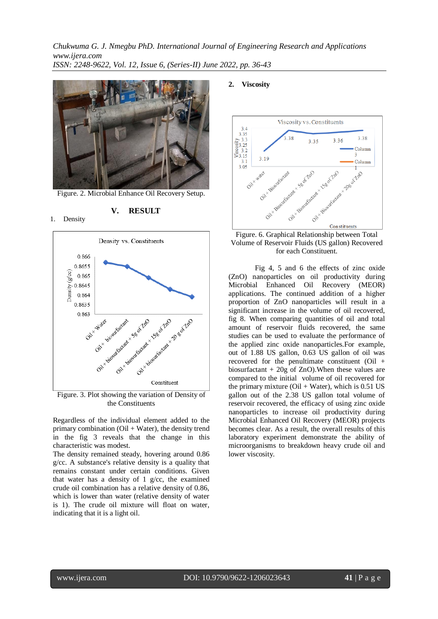

Figure. 2. Microbial Enhance Oil Recovery Setup.

**V. RESULT**



Figure. 3. Plot showing the variation of Density of the Constituents

Regardless of the individual element added to the primary combination  $(Oil + Water)$ , the density trend in the fig 3 reveals that the change in this characteristic was modest.

The density remained steady, hovering around 0.86 g/cc. A substance's relative density is a quality that remains constant under certain conditions. Given that water has a density of 1 g/cc, the examined crude oil combination has a relative density of 0.86, which is lower than water (relative density of water is 1). The crude oil mixture will float on water, indicating that it is a light oil.

### **2. Viscosity**





Fig 4, 5 and 6 the effects of zinc oxide (ZnO) nanoparticles on oil productivity during Microbial Enhanced Oil Recovery (MEOR) applications. The continued addition of a higher proportion of ZnO nanoparticles will result in a significant increase in the volume of oil recovered, fig 8. When comparing quantities of oil and total amount of reservoir fluids recovered, the same studies can be used to evaluate the performance of the applied zinc oxide nanoparticles.For example, out of 1.88 US gallon, 0.63 US gallon of oil was recovered for the penultimate constituent (Oil + biosurfactant + 20g of ZnO).When these values are compared to the initial volume of oil recovered for the primary mixture ( $Oil + Water$ ), which is 0.51 US gallon out of the 2.38 US gallon total volume of reservoir recovered, the efficacy of using zinc oxide nanoparticles to increase oil productivity during Microbial Enhanced Oil Recovery (MEOR) projects becomes clear. As a result, the overall results of this laboratory experiment demonstrate the ability of microorganisms to breakdown heavy crude oil and lower viscosity.

1. Density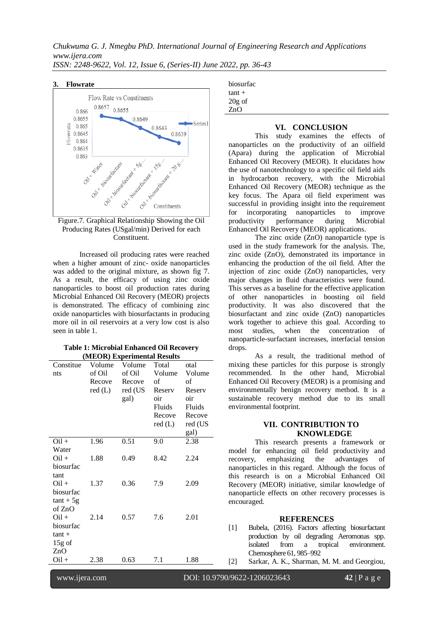*ISSN: 2248-9622, Vol. 12, Issue 6, (Series-II) June 2022, pp. 36-43*

#### **3. Flowrate**



Figure.7. Graphical Relationship Showing the Oil Producing Rates (USgal/min) Derived for each Constituent.

Increased oil producing rates were reached when a higher amount of zinc- oxide nanoparticles was added to the original mixture, as shown fig 7. As a result, the efficacy of using zinc oxide nanoparticles to boost oil production rates during Microbial Enhanced Oil Recovery (MEOR) projects is demonstrated. The efficacy of combining zinc oxide nanoparticles with biosurfactants in producing more oil in oil reservoirs at a very low cost is also seen in table 1.

| <b>Table 1: Microbial Enhanced Oil Recovery</b> |
|-------------------------------------------------|
| (MEOR) Experimental Results                     |

| Constitue   | Volume | Volume  | Total  | otal    |
|-------------|--------|---------|--------|---------|
| nts         | of Oil | of Oil  | Volume | Volume  |
|             | Recove | Recove  | οf     | of      |
|             | red(L) | red (US | Reserv | Reserv  |
|             |        | gal)    | oir    | oir     |
|             |        |         | Fluids | Fluids  |
|             |        |         | Recove | Recove  |
|             |        |         | red(L) | red (US |
|             |        |         |        | gal)    |
| $Oil +$     | 1.96   | 0.51    | 9.0    | 2.38    |
| Water       |        |         |        |         |
| $Oil +$     | 1.88   | 0.49    | 8.42   | 2.24    |
| biosurfac   |        |         |        |         |
| tant        |        |         |        |         |
| $Oil +$     | 1.37   | 0.36    | 7.9    | 2.09    |
| biosurfac   |        |         |        |         |
| $tant + 5g$ |        |         |        |         |
| of ZnO      |        |         |        |         |
| $Oil +$     | 2.14   | 0.57    | 7.6    | 2.01    |
| biosurfac   |        |         |        |         |
| $tant +$    |        |         |        |         |
| $15g$ of    |        |         |        |         |
| ZnO         |        |         |        |         |
| $Oil +$     | 2.38   | 0.63    | 7.1    | 1.88    |
|             |        |         |        |         |

|  | n              |
|--|----------------|
|  | $\overline{(}$ |

biosurfac  $\tan t +$ 20g of ZnO

# **VI. CONCLUSION**

This study examines the effects of nanoparticles on the productivity of an oilfield (Apara) during the application of Microbial Enhanced Oil Recovery (MEOR). It elucidates how the use of nanotechnology to a specific oil field aids in hydrocarbon recovery, with the Microbial Enhanced Oil Recovery (MEOR) technique as the key focus. The Apara oil field experiment was successful in providing insight into the requirement for incorporating nanoparticles to improve productivity performance during Microbial Enhanced Oil Recovery (MEOR) applications.

The zinc oxide (ZnO) nanoparticle type is used in the study framework for the analysis. The, zinc oxide (ZnO), demonstrated its importance in enhancing the production of the oil field. After the injection of zinc oxide (ZnO) nanoparticles, very major changes in fluid characteristics were found. This serves as a baseline for the effective application of other nanoparticles in boosting oil field productivity. It was also discovered that the biosurfactant and zinc oxide (ZnO) nanoparticles work together to achieve this goal. According to most studies, when the concentration of nanoparticle-surfactant increases, interfacial tension drops.

As a result, the traditional method of mixing these particles for this purpose is strongly recommended. In the other hand, Microbial Enhanced Oil Recovery (MEOR) is a promising and environmentally benign recovery method. It is a sustainable recovery method due to its small environmental footprint.

# **VII. CONTRIBUTION TO KNOWLEDGE**

This research presents a framework or model for enhancing oil field productivity and recovery, emphasizing the advantages of nanoparticles in this regard. Although the focus of this research is on a Microbial Enhanced Oil Recovery (MEOR) initiative, similar knowledge of nanoparticle effects on other recovery processes is encouraged.

#### **REFERENCES**

- [1] Bubela, (2016). Factors affecting biosurfactant production by oil degrading Aeromonas spp. isolated from a tropical environment. Chemosphere 61, 985–992
- [2] Sarkar, A. K., Sharman, M. M. and Georgiou,